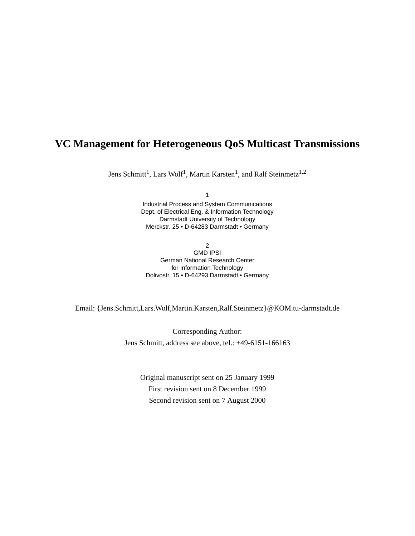# **VC Management for Heterogeneous QoS Multicast Transmissions**

Jens Schmitt<sup>1</sup>, Lars Wolf<sup>1</sup>, Martin Karsten<sup>1</sup>, and Ralf Steinmetz<sup>1,2</sup>

1

Industrial Process and System Communications Dept. of Electrical Eng. & Information Technology Darmstadt University of Technology Merckstr. 25 • D-64283 Darmstadt • Germany

2

GMD IPSI German National Research Center for Information Technology Dolivostr. 15 • D-64293 Darmstadt • Germany

Email: {Jens.Schmitt,Lars.Wolf,Martin.Karsten,Ralf.Steinmetz}@KOM.tu-darmstadt.de

Corresponding Author: Jens Schmitt, address see above, tel.: +49-6151-166163

Original manuscript sent on 25 January 1999 First revision sent on 8 December 1999 Second revision sent on 7 August 2000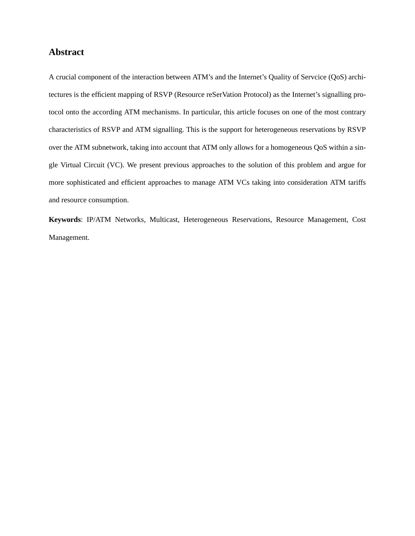# **Abstract**

A crucial component of the interaction between ATM's and the Internet's Quality of Servcice (QoS) architectures is the efficient mapping of RSVP (Resource reSerVation Protocol) as the Internet's signalling protocol onto the according ATM mechanisms. In particular, this article focuses on one of the most contrary characteristics of RSVP and ATM signalling. This is the support for heterogeneous reservations by RSVP over the ATM subnetwork, taking into account that ATM only allows for a homogeneous QoS within a single Virtual Circuit (VC). We present previous approaches to the solution of this problem and argue for more sophisticated and efficient approaches to manage ATM VCs taking into consideration ATM tariffs and resource consumption.

**Keywords**: IP/ATM Networks, Multicast, Heterogeneous Reservations, Resource Management, Cost Management.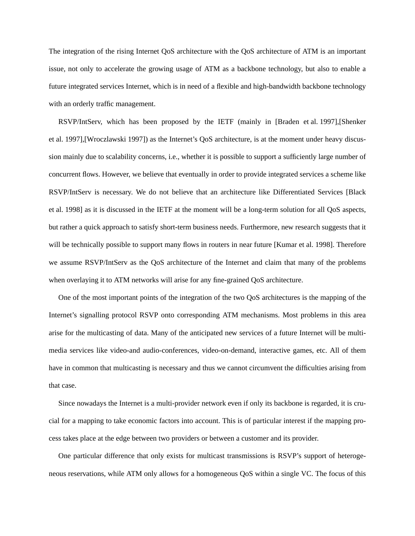The integration of the rising Internet QoS architecture with the QoS architecture of ATM is an important issue, not only to accelerate the growing usage of ATM as a backbone technology, but also to enable a future integrated services Internet, which is in need of a flexible and high-bandwidth backbone technology with an orderly traffic management.

RSVP/IntServ, which has been proposed by the IETF (mainly in [Braden et al. 1997],[Shenker et al. 1997],[Wroczlawski 1997]) as the Internet's QoS architecture, is at the moment under heavy discussion mainly due to scalability concerns, i.e., whether it is possible to support a sufficiently large number of concurrent flows. However, we believe that eventually in order to provide integrated services a scheme like RSVP/IntServ is necessary. We do not believe that an architecture like Differentiated Services [Black et al. 1998] as it is discussed in the IETF at the moment will be a long-term solution for all QoS aspects, but rather a quick approach to satisfy short-term business needs. Furthermore, new research suggests that it will be technically possible to support many flows in routers in near future [Kumar et al. 1998]. Therefore we assume RSVP/IntServ as the QoS architecture of the Internet and claim that many of the problems when overlaying it to ATM networks will arise for any fine-grained QoS architecture.

One of the most important points of the integration of the two QoS architectures is the mapping of the Internet's signalling protocol RSVP onto corresponding ATM mechanisms. Most problems in this area arise for the multicasting of data. Many of the anticipated new services of a future Internet will be multimedia services like video-and audio-conferences, video-on-demand, interactive games, etc. All of them have in common that multicasting is necessary and thus we cannot circumvent the difficulties arising from that case.

Since nowadays the Internet is a multi-provider network even if only its backbone is regarded, it is crucial for a mapping to take economic factors into account. This is of particular interest if the mapping process takes place at the edge between two providers or between a customer and its provider.

One particular difference that only exists for multicast transmissions is RSVP's support of heterogeneous reservations, while ATM only allows for a homogeneous QoS within a single VC. The focus of this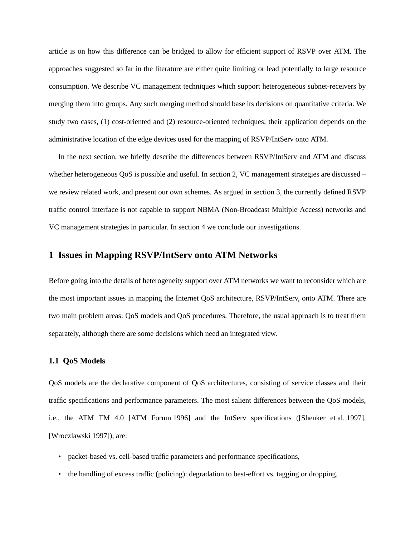<span id="page-3-0"></span>article is on how this difference can be bridged to allow for efficient support of RSVP over ATM. The approaches suggested so far in the literature are either quite limiting or lead potentially to large resource consumption. We describe VC management techniques which support heterogeneous subnet-receivers by merging them into groups. Any such merging method should base its decisions on quantitative criteria. We study two cases, (1) cost-oriented and (2) resource-oriented techniques; their application depends on the administrative location of the edge devices used for the mapping of RSVP/IntServ onto ATM.

In the next section, we briefly describe the differences between RSVP/IntServ and ATM and discuss whether heterogeneous QoS is possible and useful. In [section 2,](#page-6-0) VC management strategies are discussed – we review related work, and present our own schemes. As argued in [section 3,](#page-21-0) the currently defined RSVP traffic control interface is not capable to support NBMA (Non-Broadcast Multiple Access) networks and VC management strategies in particular. In s[ection 4 w](#page-24-0)e conclude our investigations.

# **1 Issues in Mapping RSVP/IntServ onto ATM Networks**

Before going into the details of heterogeneity support over ATM networks we want to reconsider which are the most important issues in mapping the Internet QoS architecture, RSVP/IntServ, onto ATM. There are two main problem areas: QoS models and QoS procedures. Therefore, the usual approach is to treat them separately, although there are some decisions which need an integrated view.

#### **1.1 QoS Models**

QoS models are the declarative component of QoS architectures, consisting of service classes and their traffic specifications and performance parameters. The most salient differences between the QoS models, i.e., the ATM TM 4.0 [ATM Forum 1996] and the IntServ specifications ([Shenker et al. 1997], [Wroczlawski 1997]), are:

- packet-based vs. cell-based traffic parameters and performance specifications,
- the handling of excess traffic (policing): degradation to best-effort vs. tagging or dropping,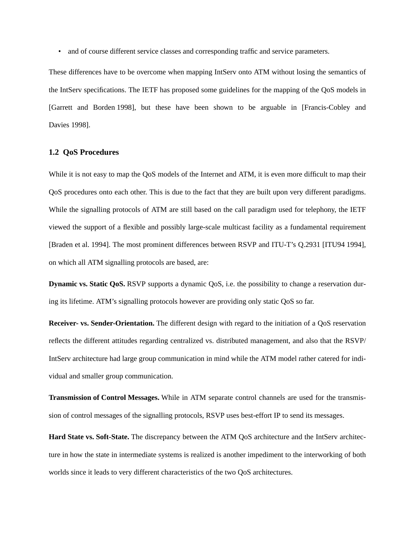• and of course different service classes and corresponding traffic and service parameters.

These differences have to be overcome when mapping IntServ onto ATM without losing the semantics of the IntServ specifications. The IETF has proposed some guidelines for the mapping of the QoS models in [Garrett and Borden 1998], but these have been shown to be arguable in [Francis-Cobley and Davies 1998].

## **1.2 QoS Procedures**

While it is not easy to map the QoS models of the Internet and ATM, it is even more difficult to map their QoS procedures onto each other. This is due to the fact that they are built upon very different paradigms. While the signalling protocols of ATM are still based on the call paradigm used for telephony, the IETF viewed the support of a flexible and possibly large-scale multicast facility as a fundamental requirement [Braden et al. 1994]. The most prominent differences between RSVP and ITU-T's Q.2931 [ITU94 1994], on which all ATM signalling protocols are based, are:

**Dynamic vs. Static OoS.** RSVP supports a dynamic OoS, i.e. the possibility to change a reservation during its lifetime. ATM's signalling protocols however are providing only static QoS so far.

**Receiver- vs. Sender-Orientation.** The different design with regard to the initiation of a QoS reservation reflects the different attitudes regarding centralized vs. distributed management, and also that the RSVP/ IntServ architecture had large group communication in mind while the ATM model rather catered for individual and smaller group communication.

**Transmission of Control Messages.** While in ATM separate control channels are used for the transmission of control messages of the signalling protocols, RSVP uses best-effort IP to send its messages.

**Hard State vs. Soft-State.** The discrepancy between the ATM QoS architecture and the IntServ architecture in how the state in intermediate systems is realized is another impediment to the interworking of both worlds since it leads to very different characteristics of the two QoS architectures.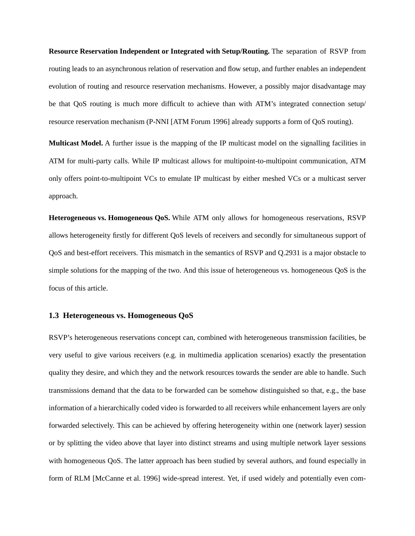**Resource Reservation Independent or Integrated with Setup/Routing.** The separation of RSVP from routing leads to an asynchronous relation of reservation and flow setup, and further enables an independent evolution of routing and resource reservation mechanisms. However, a possibly major disadvantage may be that QoS routing is much more difficult to achieve than with ATM's integrated connection setup/ resource reservation mechanism (P-NNI [ATM Forum 1996] already supports a form of QoS routing).

**Multicast Model.** A further issue is the mapping of the IP multicast model on the signalling facilities in ATM for multi-party calls. While IP multicast allows for multipoint-to-multipoint communication, ATM only offers point-to-multipoint VCs to emulate IP multicast by either meshed VCs or a multicast server approach.

**Heterogeneous vs. Homogeneous QoS.** While ATM only allows for homogeneous reservations, RSVP allows heterogeneity firstly for different QoS levels of receivers and secondly for simultaneous support of QoS and best-effort receivers. This mismatch in the semantics of RSVP and Q.2931 is a major obstacle to simple solutions for the mapping of the two. And this issue of heterogeneous vs. homogeneous QoS is the focus of this article.

#### **1.3 Heterogeneous vs. Homogeneous QoS**

RSVP's heterogeneous reservations concept can, combined with heterogeneous transmission facilities, be very useful to give various receivers (e.g. in multimedia application scenarios) exactly the presentation quality they desire, and which they and the network resources towards the sender are able to handle. Such transmissions demand that the data to be forwarded can be somehow distinguished so that, e.g., the base information of a hierarchically coded video is forwarded to all receivers while enhancement layers are only forwarded selectively. This can be achieved by offering heterogeneity within one (network layer) session or by splitting the video above that layer into distinct streams and using multiple network layer sessions with homogeneous QoS. The latter approach has been studied by several authors, and found especially in form of RLM [McCanne et al. 1996] wide-spread interest. Yet, if used widely and potentially even com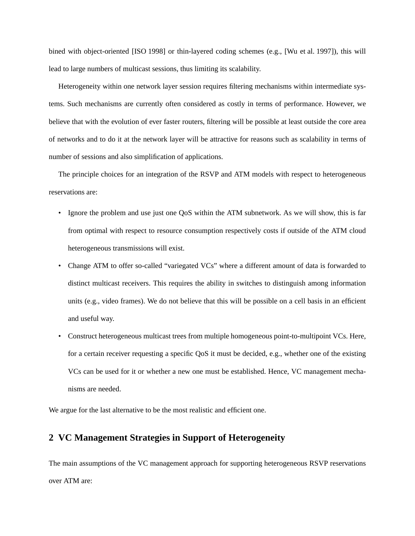<span id="page-6-0"></span>bined with object-oriented [ISO 1998] or thin-layered coding schemes (e.g., [Wu et al. 1997]), this will lead to large numbers of multicast sessions, thus limiting its scalability.

Heterogeneity within one network layer session requires filtering mechanisms within intermediate systems. Such mechanisms are currently often considered as costly in terms of performance. However, we believe that with the evolution of ever faster routers, filtering will be possible at least outside the core area of networks and to do it at the network layer will be attractive for reasons such as scalability in terms of number of sessions and also simplification of applications.

The principle choices for an integration of the RSVP and ATM models with respect to heterogeneous reservations are:

- Ignore the problem and use just one OoS within the ATM subnetwork. As we will show, this is far from optimal with respect to resource consumption respectively costs if outside of the ATM cloud heterogeneous transmissions will exist.
- Change ATM to offer so-called "variegated VCs" where a different amount of data is forwarded to distinct multicast receivers. This requires the ability in switches to distinguish among information units (e.g., video frames). We do not believe that this will be possible on a cell basis in an efficient and useful way.
- Construct heterogeneous multicast trees from multiple homogeneous point-to-multipoint VCs. Here, for a certain receiver requesting a specific QoS it must be decided, e.g., whether one of the existing VCs can be used for it or whether a new one must be established. Hence, VC management mechanisms are needed.

We argue for the last alternative to be the most realistic and efficient one.

# **2 VC Management Strategies in Support of Heterogeneity**

The main assumptions of the VC management approach for supporting heterogeneous RSVP reservations over ATM are: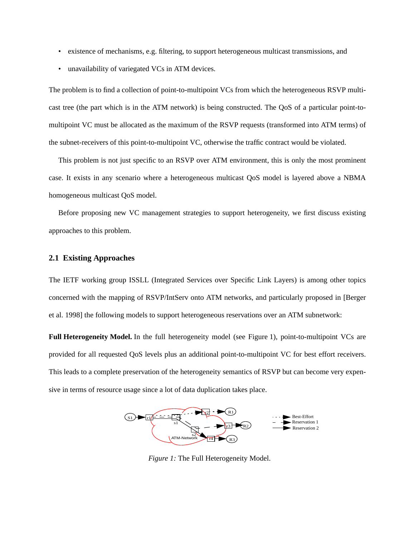- existence of mechanisms, e.g. filtering, to support heterogeneous multicast transmissions, and
- unavailability of variegated VCs in ATM devices.

The problem is to find a collection of point-to-multipoint VCs from which the heterogeneous RSVP multicast tree (the part which is in the ATM network) is being constructed. The QoS of a particular point-tomultipoint VC must be allocated as the maximum of the RSVP requests (transformed into ATM terms) of the subnet-receivers of this point-to-multipoint VC, otherwise the traffic contract would be violated.

This problem is not just specific to an RSVP over ATM environment, this is only the most prominent case. It exists in any scenario where a heterogeneous multicast QoS model is layered above a NBMA homogeneous multicast QoS model.

Before proposing new VC management strategies to support heterogeneity, we first discuss existing approaches to this problem.

### **2.1 Existing Approaches**

The IETF working group ISSLL (Integrated Services over Specific Link Layers) is among other topics concerned with the mapping of RSVP/IntServ onto ATM networks, and particularly proposed in [Berger et al. 1998] the following models to support heterogeneous reservations over an ATM subnetwork:

**Full Heterogeneity Model.** In the full heterogeneity model (see Figure 1), point-to-multipoint VCs are provided for all requested QoS levels plus an additional point-to-multipoint VC for best effort receivers. This leads to a complete preservation of the heterogeneity semantics of RSVP but can become very expensive in terms of resource usage since a lot of data duplication takes place.



*Figure 1:* The Full Heterogeneity Model.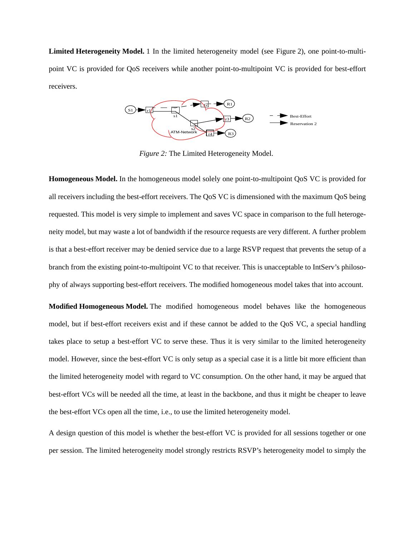**Limited Heterogeneity Model.** 1 In the limited heterogeneity model (see Figure 2), one point-to-multipoint VC is provided for QoS receivers while another point-to-multipoint VC is provided for best-effort receivers.



*Figure 2:* The Limited Heterogeneity Model.

**Homogeneous Model.** In the homogeneous model solely one point-to-multipoint QoS VC is provided for all receivers including the best-effort receivers. The QoS VC is dimensioned with the maximum QoS being requested. This model is very simple to implement and saves VC space in comparison to the full heterogeneity model, but may waste a lot of bandwidth if the resource requests are very different. A further problem is that a best-effort receiver may be denied service due to a large RSVP request that prevents the setup of a branch from the existing point-to-multipoint VC to that receiver. This is unacceptable to IntServ's philosophy of always supporting best-effort receivers. The modified homogeneous model takes that into account.

**Modified Homogeneous Model.** The modified homogeneous model behaves like the homogeneous model, but if best-effort receivers exist and if these cannot be added to the QoS VC, a special handling takes place to setup a best-effort VC to serve these. Thus it is very similar to the limited heterogeneity model. However, since the best-effort VC is only setup as a special case it is a little bit more efficient than the limited heterogeneity model with regard to VC consumption. On the other hand, it may be argued that best-effort VCs will be needed all the time, at least in the backbone, and thus it might be cheaper to leave the best-effort VCs open all the time, i.e., to use the limited heterogeneity model.

A design question of this model is whether the best-effort VC is provided for all sessions together or one per session. The limited heterogeneity model strongly restricts RSVP's heterogeneity model to simply the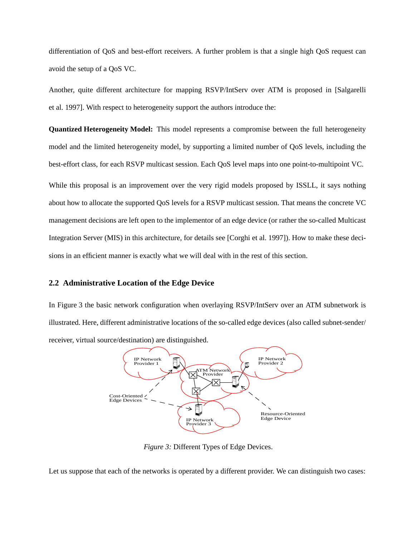differentiation of QoS and best-effort receivers. A further problem is that a single high QoS request can avoid the setup of a QoS VC.

Another, quite different architecture for mapping RSVP/IntServ over ATM is proposed in [Salgarelli et al. 1997]. With respect to heterogeneity support the authors introduce the:

**Quantized Heterogeneity Model:** This model represents a compromise between the full heterogeneity model and the limited heterogeneity model, by supporting a limited number of QoS levels, including the best-effort class, for each RSVP multicast session. Each QoS level maps into one point-to-multipoint VC. While this proposal is an improvement over the very rigid models proposed by ISSLL, it says nothing about how to allocate the supported QoS levels for a RSVP multicast session. That means the concrete VC management decisions are left open to the implementor of an edge device (or rather the so-called Multicast Integration Server (MIS) in this architecture, for details see [Corghi et al. 1997]). How to make these decisions in an efficient manner is exactly what we will deal with in the rest of this section.

### **2.2 Administrative Location of the Edge Device**

In Figure 3 the basic network configuration when overlaying RSVP/IntServ over an ATM subnetwork is illustrated. Here, different administrative locations of the so-called edge devices (also called subnet-sender/ receiver, virtual source/destination) are distinguished.



*Figure 3:* Different Types of Edge Devices.

Let us suppose that each of the networks is operated by a different provider. We can distinguish two cases: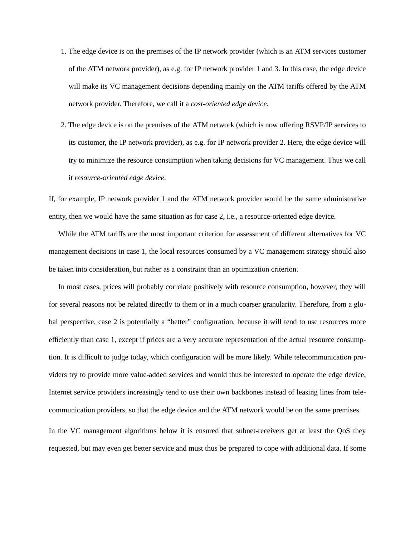- 1. The edge device is on the premises of the IP network provider (which is an ATM services customer of the ATM network provider), as e.g. for IP network provider 1 and 3. In this case, the edge device will make its VC management decisions depending mainly on the ATM tariffs offered by the ATM network provider. Therefore, we call it a *cost-oriented edge device*.
- 2. The edge device is on the premises of the ATM network (which is now offering RSVP/IP services to its customer, the IP network provider), as e.g. for IP network provider 2. Here, the edge device will try to minimize the resource consumption when taking decisions for VC management. Thus we call it *resource-oriented edge device*.

If, for example, IP network provider 1 and the ATM network provider would be the same administrative entity, then we would have the same situation as for case 2, i.e., a resource-oriented edge device.

While the ATM tariffs are the most important criterion for assessment of different alternatives for VC management decisions in case 1, the local resources consumed by a VC management strategy should also be taken into consideration, but rather as a constraint than an optimization criterion.

In most cases, prices will probably correlate positively with resource consumption, however, they will for several reasons not be related directly to them or in a much coarser granularity. Therefore, from a global perspective, case 2 is potentially a "better" configuration, because it will tend to use resources more efficiently than case 1, except if prices are a very accurate representation of the actual resource consumption. It is difficult to judge today, which configuration will be more likely. While telecommunication providers try to provide more value-added services and would thus be interested to operate the edge device, Internet service providers increasingly tend to use their own backbones instead of leasing lines from telecommunication providers, so that the edge device and the ATM network would be on the same premises.

In the VC management algorithms below it is ensured that subnet-receivers get at least the QoS they requested, but may even get better service and must thus be prepared to cope with additional data. If some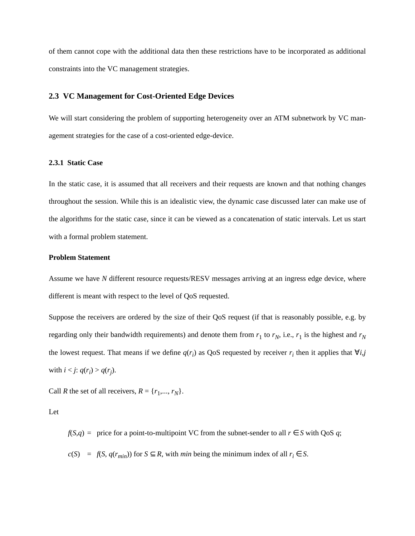of them cannot cope with the additional data then these restrictions have to be incorporated as additional constraints into the VC management strategies.

## **2.3 VC Management for Cost-Oriented Edge Devices**

We will start considering the problem of supporting heterogeneity over an ATM subnetwork by VC management strategies for the case of a cost-oriented edge-device.

#### **2.3.1 Static Case**

In the static case, it is assumed that all receivers and their requests are known and that nothing changes throughout the session. While this is an idealistic view, the dynamic case discussed later can make use of the algorithms for the static case, since it can be viewed as a concatenation of static intervals. Let us start with a formal problem statement.

#### **Problem Statement**

Assume we have *N* different resource requests/RESV messages arriving at an ingress edge device, where different is meant with respect to the level of QoS requested.

Suppose the receivers are ordered by the size of their QoS request (if that is reasonably possible, e.g. by regarding only their bandwidth requirements) and denote them from  $r_1$  to  $r_N$ , i.e.,  $r_1$  is the highest and  $r_N$ the lowest request. That means if we define  $q(r_i)$  as QoS requested by receiver  $r_i$  then it applies that  $\forall i, j$ with  $i < j$ :  $q(r_i) > q(r_j)$ .

Call *R* the set of all receivers,  $R = \{r_1, ..., r_N\}.$ 

#### Let

 $f(S,q) =$  price for a point-to-multipoint VC from the subnet-sender to all  $r \in S$  with QoS *q*;  $c(S) = f(S, q(r_{min}))$  for  $S \subseteq R$ , with *min* being the minimum index of all  $r_i \in S$ .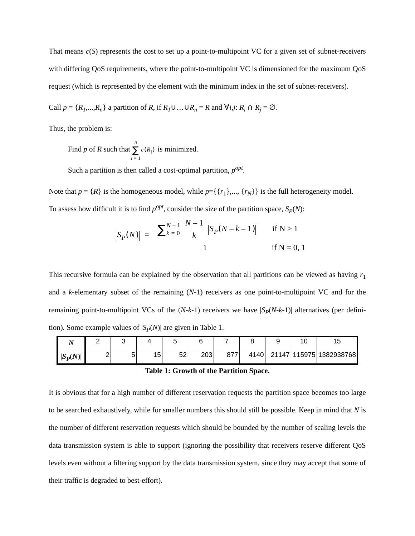That means  $c(S)$  represents the cost to set up a point-to-multipoint VC for a given set of subnet-receivers with differing QoS requirements, where the point-to-multipoint VC is dimensioned for the maximum QoS request (which is represented by the element with the minimum index in the set of subnet-receivers).

Call  $p = \{R_1, ..., R_n\}$  a partition of *R*, if  $R_1 \cup ... \cup R_n = R$  and  $\forall i, j$ :  $R_i \cap R_j = \emptyset$ .

Thus, the problem is:

Find *p* of *R* such that  $\sum c(R_i)$  is minimized. *i* = 1 *n* ∑

Such a partition is then called a cost-optimal partition, *popt*.

Note that  $p = \{R\}$  is the homogeneous model, while  $p = \{\{r_1\},..., \{r_N\}\}\$ is the full heterogeneity model. To assess how difficult it is to find  $p^{opt}$ , consider the size of the partition space,  $S_p(N)$ :

$$
|S_P(N)| = \begin{cases} \sum_{k=0}^{N-1} {N-1 \choose k} |S_P(N-k-1)| & \text{if } N > 1 \\ 1 & \text{if } N = 0, 1 \end{cases}
$$

This recursive formula can be explained by the observation that all partitions can be viewed as having  $r_1$ and a *k*-elementary subset of the remaining (*N*-1) receivers as one point-to-multipoint VC and for the remaining point-to-multipoint VCs of the  $(N-k-1)$  receivers we have  $|S_p(N-k-1)|$  alternatives (per definition). Some example values of  $|S_P(N)|$  are given in Table 1.

|            | ∽             |    |    | ຂ   |     |      |  | . r<br>m<br>ں ،         |
|------------|---------------|----|----|-----|-----|------|--|-------------------------|
| $ S_P(N) $ | ⌒<br><u>.</u> | 15 | 52 | 203 | 877 | 4140 |  | 21147 115975 1382938768 |

**Table 1: Growth of the Partition Space.**

It is obvious that for a high number of different reservation requests the partition space becomes too large to be searched exhaustively, while for smaller numbers this should still be possible. Keep in mind that *N* is the number of different reservation requests which should be bounded by the number of scaling levels the data transmission system is able to support (ignoring the possibility that receivers reserve different QoS levels even without a filtering support by the data transmission system, since they may accept that some of their traffic is degraded to best-effort).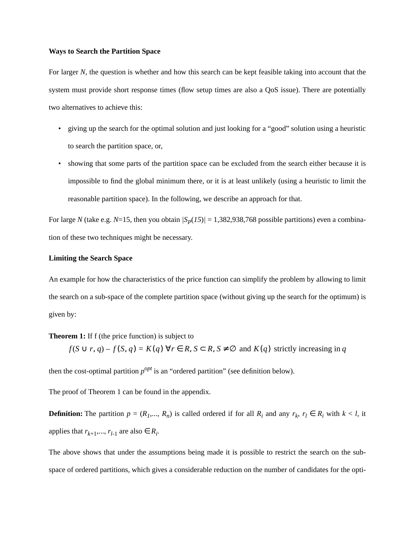#### **Ways to Search the Partition Space**

For larger N, the question is whether and how this search can be kept feasible taking into account that the system must provide short response times (flow setup times are also a QoS issue). There are potentially two alternatives to achieve this:

- giving up the search for the optimal solution and just looking for a "good" solution using a heuristic to search the partition space, or,
- showing that some parts of the partition space can be excluded from the search either because it is impossible to find the global minimum there, or it is at least unlikely (using a heuristic to limit the reasonable partition space). In the following, we describe an approach for that.

For large *N* (take e.g. *N*=15, then you obtain  $|S_P(15)| = 1,382,938,768$  possible partitions) even a combination of these two techniques might be necessary.

#### **Limiting the Search Space**

An example for how the characteristics of the price function can simplify the problem by allowing to limit the search on a sub-space of the complete partition space (without giving up the search for the optimum) is given by:

#### **Theorem 1:** If f (the price function) is subject to

 $f(S \cup r, q) - f(S, q) = K(q) \,\forall r \in R$ ,  $S \subset R$ ,  $S \neq \emptyset$  and  $K(q)$  strictly increasing in *q* 

then the cost-optimal partition  $p^{opt}$  is an "ordered partition" (see definition below).

The proof of Theorem 1 can be found in the appendix.

**Definition:** The partition  $p = (R_1, ..., R_n)$  is called ordered if for all  $R_i$  and any  $r_k$ ,  $r_l \in R_i$  with  $k < l$ , it applies that  $r_{k+1},..., r_{l-1}$  are also  $\in R_i$ .

The above shows that under the assumptions being made it is possible to restrict the search on the subspace of ordered partitions, which gives a considerable reduction on the number of candidates for the opti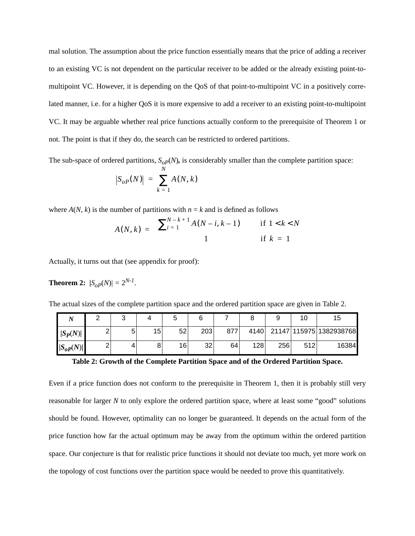mal solution. The assumption about the price function essentially means that the price of adding a receiver to an existing VC is not dependent on the particular receiver to be added or the already existing point-tomultipoint VC. However, it is depending on the QoS of that point-to-multipoint VC in a positively correlated manner, i.e. for a higher QoS it is more expensive to add a receiver to an existing point-to-multipoint VC. It may be arguable whether real price functions actually conform to the prerequisite of Theorem 1 or not. The point is that if they do, the search can be restricted to ordered partitions.

The sub-space of ordered partitions,  $S_{\text{op}}(N)$ , is considerably smaller than the complete partition space:

$$
\left|S_{oP}(N)\right| = \sum_{k=1}^{N} A(N, k)
$$

where  $A(N, k)$  is the number of partitions with  $n = k$  and is defined as follows

$$
A(N,k) = \begin{cases} \sum_{i=1}^{N-k+1} A(N-i, k-1) & \text{if } 1 < k < N \\ 1 & \text{if } k = 1 \end{cases}
$$

Actually, it turns out that (see appendix for proof):

**Theorem 2:** 
$$
|S_{oP}(N)| = 2^{N-1}
$$
.

The actual sizes of the complete partition space and the ordered partition space are given in Table 2.

|                 |               |    |    |     |     |      |     | 10  | 15                      |
|-----------------|---------------|----|----|-----|-----|------|-----|-----|-------------------------|
| $ S_P(N) $      | ⌒<br><u>.</u> | 15 | 52 | 203 | 877 | 4140 |     |     | 21147 115975 1382938768 |
| $  S_{oP}(N)  $ | ے             | ٥  | 16 | 32  | 64  | 128  | 256 | 512 | 16384                   |

**Table 2: Growth of the Complete Partition Space and of the Ordered Partition Space.**

Even if a price function does not conform to the prerequisite in Theorem 1, then it is probably still very reasonable for larger *N* to only explore the ordered partition space, where at least some "good" solutions should be found. However, optimality can no longer be guaranteed. It depends on the actual form of the price function how far the actual optimum may be away from the optimum within the ordered partition space. Our conjecture is that for realistic price functions it should not deviate too much, yet more work on the topology of cost functions over the partition space would be needed to prove this quantitatively.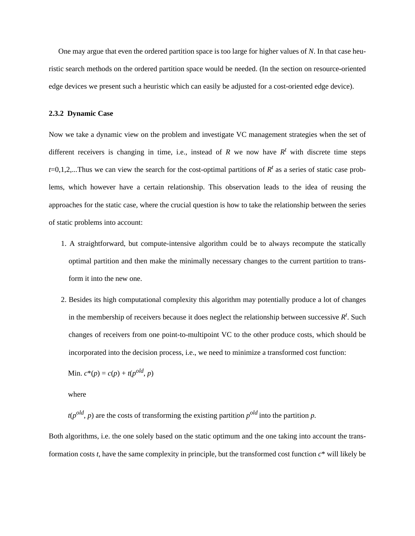One may argue that even the ordered partition space is too large for higher values of *N*. In that case heuristic search methods on the ordered partition space would be needed. (In the section on resource-oriented edge devices we present such a heuristic which can easily be adjusted for a cost-oriented edge device).

### **2.3.2 Dynamic Case**

Now we take a dynamic view on the problem and investigate VC management strategies when the set of different receivers is changing in time, i.e., instead of *R* we now have  $R<sup>t</sup>$  with discrete time steps  $t=0,1,2,...$  Thus we can view the search for the cost-optimal partitions of  $R^t$  as a series of static case problems, which however have a certain relationship. This observation leads to the idea of reusing the approaches for the static case, where the crucial question is how to take the relationship between the series of static problems into account:

- 1. A straightforward, but compute-intensive algorithm could be to always recompute the statically optimal partition and then make the minimally necessary changes to the current partition to transform it into the new one.
- 2. Besides its high computational complexity this algorithm may potentially produce a lot of changes in the membership of receivers because it does neglect the relationship between successive  $R<sup>t</sup>$ . Such changes of receivers from one point-to-multipoint VC to the other produce costs, which should be incorporated into the decision process, i.e., we need to minimize a transformed cost function:

 $Min. c^*(p) = c(p) + t(p^{old}, p)$ 

where

 $t(p^{old}, p)$  are the costs of transforming the existing partition  $p^{old}$  into the partition *p*.

Both algorithms, i.e. the one solely based on the static optimum and the one taking into account the transformation costs *t*, have the same complexity in principle, but the transformed cost function *c*\* will likely be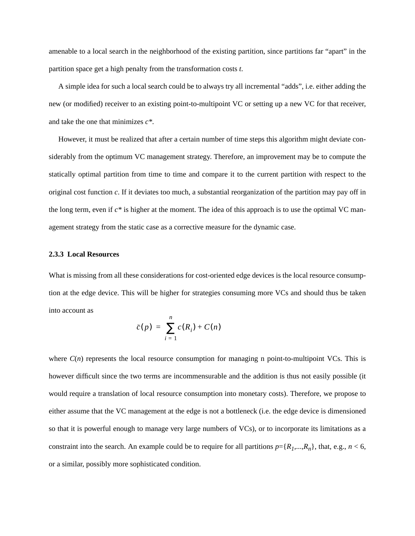amenable to a local search in the neighborhood of the existing partition, since partitions far "apart" in the partition space get a high penalty from the transformation costs *t*.

A simple idea for such a local search could be to always try all incremental "adds", i.e. either adding the new (or modified) receiver to an existing point-to-multipoint VC or setting up a new VC for that receiver, and take the one that minimizes *c\**.

However, it must be realized that after a certain number of time steps this algorithm might deviate considerably from the optimum VC management strategy. Therefore, an improvement may be to compute the statically optimal partition from time to time and compare it to the current partition with respect to the original cost function *c*. If it deviates too much, a substantial reorganization of the partition may pay off in the long term, even if *c\** is higher at the moment. The idea of this approach is to use the optimal VC management strategy from the static case as a corrective measure for the dynamic case.

#### **2.3.3 Local Resources**

What is missing from all these considerations for cost-oriented edge devices is the local resource consumption at the edge device. This will be higher for strategies consuming more VCs and should thus be taken into account as

$$
\bar{c}(p) = \sum_{i=1}^{n} c(R_i) + C(n)
$$

where  $C(n)$  represents the local resource consumption for managing n point-to-multipoint VCs. This is however difficult since the two terms are incommensurable and the addition is thus not easily possible (it would require a translation of local resource consumption into monetary costs). Therefore, we propose to either assume that the VC management at the edge is not a bottleneck (i.e. the edge device is dimensioned so that it is powerful enough to manage very large numbers of VCs), or to incorporate its limitations as a constraint into the search. An example could be to require for all partitions  $p = {R_1, ..., R_n}$ , that, e.g.,  $n < 6$ , or a similar, possibly more sophisticated condition.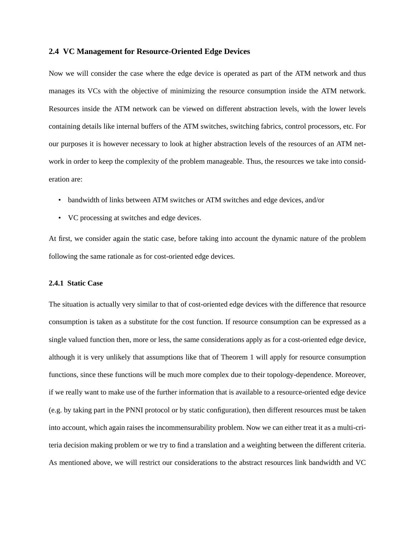### **2.4 VC Management for Resource-Oriented Edge Devices**

Now we will consider the case where the edge device is operated as part of the ATM network and thus manages its VCs with the objective of minimizing the resource consumption inside the ATM network. Resources inside the ATM network can be viewed on different abstraction levels, with the lower levels containing details like internal buffers of the ATM switches, switching fabrics, control processors, etc. For our purposes it is however necessary to look at higher abstraction levels of the resources of an ATM network in order to keep the complexity of the problem manageable. Thus, the resources we take into consideration are:

- bandwidth of links between ATM switches or ATM switches and edge devices, and/or
- VC processing at switches and edge devices.

At first, we consider again the static case, before taking into account the dynamic nature of the problem following the same rationale as for cost-oriented edge devices.

### **2.4.1 Static Case**

The situation is actually very similar to that of cost-oriented edge devices with the difference that resource consumption is taken as a substitute for the cost function. If resource consumption can be expressed as a single valued function then, more or less, the same considerations apply as for a cost-oriented edge device, although it is very unlikely that assumptions like that of Theorem 1 will apply for resource consumption functions, since these functions will be much more complex due to their topology-dependence. Moreover, if we really want to make use of the further information that is available to a resource-oriented edge device (e.g. by taking part in the PNNI protocol or by static configuration), then different resources must be taken into account, which again raises the incommensurability problem. Now we can either treat it as a multi-criteria decision making problem or we try to find a translation and a weighting between the different criteria. As mentioned above, we will restrict our considerations to the abstract resources link bandwidth and VC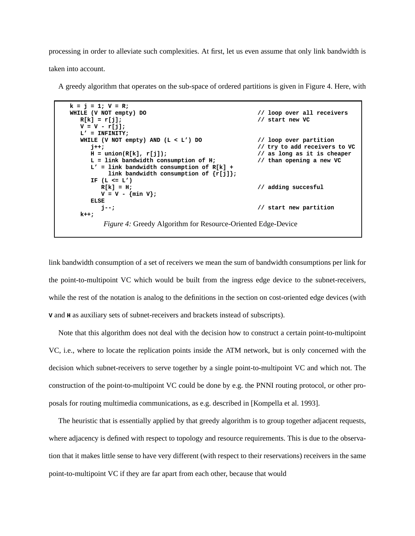processing in order to alleviate such complexities. At first, let us even assume that only link bandwidth is taken into account.

A greedy algorithm that operates on the sub-space of ordered partitions is given in Figure 4. Here, with

```
k = j = 1; V = R;
WHILE (V NOT empty) DO // loop over all receivers
  R[k] = r[j]; // start new VC
  V = V - r[j];
  L' = INFINITY;
  WHILE (V NOT empty) AND (L < L') DO // loop over partition
    j++; // try to add receivers to VC
    H = union(R[k], r[j]); // as long as it is cheaper
    L = link bandwidth consumption of H; // than opening a new VC
    L' = link bandwidth consumption of R[k] +
       link bandwidth consumption of {r[j]};
    IF (L <= L')
      R[k] = H; // adding succesful
      V = V - \{min V\};
    ELSE
      j--; // start new partition
  k++;
       Figure 4: Greedy Algorithm for Resource-Oriented Edge-Device
```
link bandwidth consumption of a set of receivers we mean the sum of bandwidth consumptions per link for the point-to-multipoint VC which would be built from the ingress edge device to the subnet-receivers, while the rest of the notation is analog to the definitions in the section on cost-oriented edge devices (with **V** and **H** as auxiliary sets of subnet-receivers and brackets instead of subscripts).

Note that this algorithm does not deal with the decision how to construct a certain point-to-multipoint VC, i.e., where to locate the replication points inside the ATM network, but is only concerned with the decision which subnet-receivers to serve together by a single point-to-multipoint VC and which not. The construction of the point-to-multipoint VC could be done by e.g. the PNNI routing protocol, or other proposals for routing multimedia communications, as e.g. described in [Kompella et al. 1993].

The heuristic that is essentially applied by that greedy algorithm is to group together adjacent requests, where adjacency is defined with respect to topology and resource requirements. This is due to the observation that it makes little sense to have very different (with respect to their reservations) receivers in the same point-to-multipoint VC if they are far apart from each other, because that would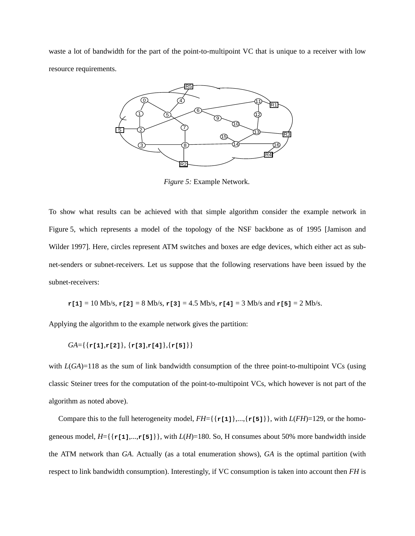waste a lot of bandwidth for the part of the point-to-multipoint VC that is unique to a receiver with low resource requirements.



*Figure 5:* Example Network.

To show what results can be achieved with that simple algorithm consider the example network in Figure 5, which represents a model of the topology of the NSF backbone as of 1995 [Jamison and Wilder 1997]. Here, circles represent ATM switches and boxes are edge devices, which either act as subnet-senders or subnet-receivers. Let us suppose that the following reservations have been issued by the subnet-receivers:

$$
r[1] = 10
$$
 Mb/s,  $r[2] = 8$  Mb/s,  $r[3] = 4.5$  Mb/s,  $r[4] = 3$  Mb/s and  $r[5] = 2$  Mb/s.

Applying the algorithm to the example network gives the partition:

$$
GA = \{ \{ \mathbf{r[1]}, \mathbf{r[2]}\}, \{ \mathbf{r[3]}, \mathbf{r[4]}\}, \{ \mathbf{r[5]}\} \}
$$

with  $L(GA)=118$  as the sum of link bandwidth consumption of the three point-to-multipoint VCs (using classic Steiner trees for the computation of the point-to-multipoint VCs, which however is not part of the algorithm as noted above).

Compare this to the full heterogeneity model,  $FH=\{\mathbf{r[1]},...,\mathbf{r[5]}\}\}\$ , with  $L(FH)=129$ , or the homogeneous model,  $H = \{ \mathbf{r}[1], \dots, \mathbf{r}[5] \}$ , with  $L(H) = 180$ . So, H consumes about 50% more bandwidth inside the ATM network than *GA*. Actually (as a total enumeration shows), *GA* is the optimal partition (with respect to link bandwidth consumption). Interestingly, if VC consumption is taken into account then *FH* is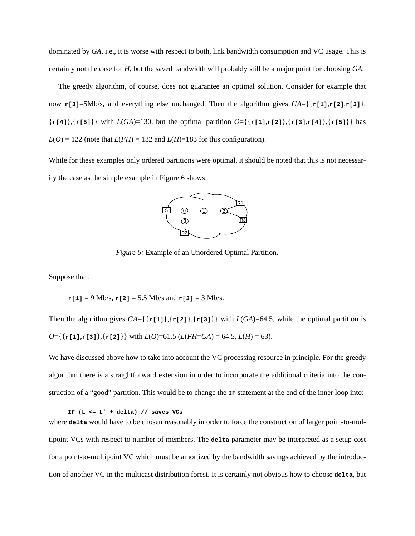dominated by *GA*, i.e., it is worse with respect to both, link bandwidth consumption and VC usage. This is certainly not the case for *H*, but the saved bandwidth will probably still be a major point for choosing *GA*.

The greedy algorithm, of course, does not guarantee an optimal solution. Consider for example that now **r[3]**=5Mb/s, and everything else unchanged. Then the algorithm gives *GA*={{**r[1]**,**r[2]**,**r[3]**},  $\{r[4], \{r[5]\}\}$  with  $L(GA)=130$ , but the optimal partition  $O=\{\{r[1], r[2]\}, \{r[3], r[4]\}, \{r[5]\}\}$  has  $L(O) = 122$  (note that  $L(FH) = 132$  and  $L(H)=183$  for this configuration).

While for these examples only ordered partitions were optimal, it should be noted that this is not necessarily the case as the simple example in Figure 6 shows:



*Figure 6:* Example of an Unordered Optimal Partition.

Suppose that:

 $r[1] = 9$  Mb/s,  $r[2] = 5.5$  Mb/s and  $r[3] = 3$  Mb/s.

Then the algorithm gives  $GA = \{ \{r[1] \}, \{r[2] \}, \{r[3] \} \}$  with  $L(GA) = 64.5$ , while the optimal partition is  $O = \{ \{ \mathbf{r}[1], \mathbf{r}[3], \{ \mathbf{r}[2] \} \}$  with  $L(O) = 61.5$  ( $L(FH = GA) = 64.5$ ,  $L(H) = 63$ ).

We have discussed above how to take into account the VC processing resource in principle. For the greedy algorithm there is a straightforward extension in order to incorporate the additional criteria into the construction of a "good" partition. This would be to change the **IF** statement at the end of the inner loop into:

```
IF (L <= L' + delta) // saves VCs
where delta would have to be chosen reasonably in order to force the construction of larger point-to-mul-
tipoint VCs with respect to number of members. The delta parameter may be interpreted as a setup cost
for a point-to-multipoint VC which must be amortized by the bandwidth savings achieved by the introduc-
tion of another VC in the multicast distribution forest. It is certainly not obvious how to choose delta, but
```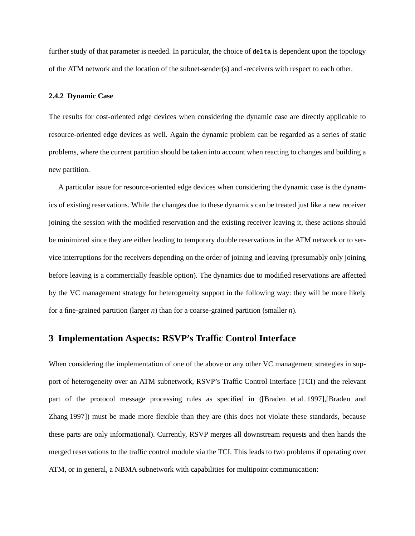<span id="page-21-0"></span>further study of that parameter is needed. In particular, the choice of **delta** is dependent upon the topology of the ATM network and the location of the subnet-sender(s) and -receivers with respect to each other.

#### **2.4.2 Dynamic Case**

The results for cost-oriented edge devices when considering the dynamic case are directly applicable to resource-oriented edge devices as well. Again the dynamic problem can be regarded as a series of static problems, where the current partition should be taken into account when reacting to changes and building a new partition.

A particular issue for resource-oriented edge devices when considering the dynamic case is the dynamics of existing reservations. While the changes due to these dynamics can be treated just like a new receiver joining the session with the modified reservation and the existing receiver leaving it, these actions should be minimized since they are either leading to temporary double reservations in the ATM network or to service interruptions for the receivers depending on the order of joining and leaving (presumably only joining before leaving is a commercially feasible option). The dynamics due to modified reservations are affected by the VC management strategy for heterogeneity support in the following way: they will be more likely for a fine-grained partition (larger *n*) than for a coarse-grained partition (smaller *n*).

# **3 Implementation Aspects: RSVP's Traffic Control Interface**

When considering the implementation of one of the above or any other VC management strategies in support of heterogeneity over an ATM subnetwork, RSVP's Traffic Control Interface (TCI) and the relevant part of the protocol message processing rules as specified in ([Braden et al. 1997],[Braden and Zhang 1997]) must be made more flexible than they are (this does not violate these standards, because these parts are only informational). Currently, RSVP merges all downstream requests and then hands the merged reservations to the traffic control module via the TCI. This leads to two problems if operating over ATM, or in general, a NBMA subnetwork with capabilities for multipoint communication: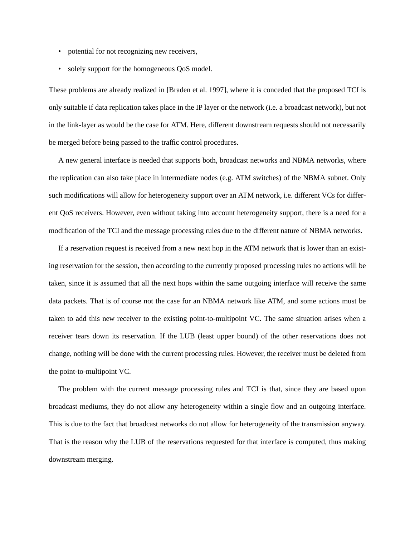- potential for not recognizing new receivers,
- solely support for the homogeneous QoS model.

These problems are already realized in [Braden et al. 1997], where it is conceded that the proposed TCI is only suitable if data replication takes place in the IP layer or the network (i.e. a broadcast network), but not in the link-layer as would be the case for ATM. Here, different downstream requests should not necessarily be merged before being passed to the traffic control procedures.

A new general interface is needed that supports both, broadcast networks and NBMA networks, where the replication can also take place in intermediate nodes (e.g. ATM switches) of the NBMA subnet. Only such modifications will allow for heterogeneity support over an ATM network, i.e. different VCs for different QoS receivers. However, even without taking into account heterogeneity support, there is a need for a modification of the TCI and the message processing rules due to the different nature of NBMA networks.

If a reservation request is received from a new next hop in the ATM network that is lower than an existing reservation for the session, then according to the currently proposed processing rules no actions will be taken, since it is assumed that all the next hops within the same outgoing interface will receive the same data packets. That is of course not the case for an NBMA network like ATM, and some actions must be taken to add this new receiver to the existing point-to-multipoint VC. The same situation arises when a receiver tears down its reservation. If the LUB (least upper bound) of the other reservations does not change, nothing will be done with the current processing rules. However, the receiver must be deleted from the point-to-multipoint VC.

The problem with the current message processing rules and TCI is that, since they are based upon broadcast mediums, they do not allow any heterogeneity within a single flow and an outgoing interface. This is due to the fact that broadcast networks do not allow for heterogeneity of the transmission anyway. That is the reason why the LUB of the reservations requested for that interface is computed, thus making downstream merging.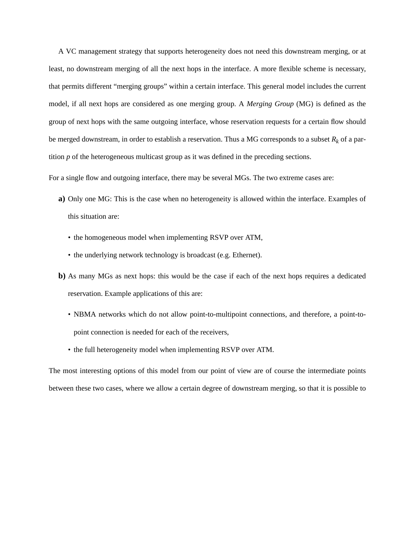A VC management strategy that supports heterogeneity does not need this downstream merging, or at least, no downstream merging of all the next hops in the interface. A more flexible scheme is necessary, that permits different "merging groups" within a certain interface. This general model includes the current model, if all next hops are considered as one merging group. A *Merging Group* (MG) is defined as the group of next hops with the same outgoing interface, whose reservation requests for a certain flow should be merged downstream, in order to establish a reservation. Thus a MG corresponds to a subset  $R_k$  of a partition *p* of the heterogeneous multicast group as it was defined in the preceding sections.

For a single flow and outgoing interface, there may be several MGs. The two extreme cases are:

- **a)** Only one MG: This is the case when no heterogeneity is allowed within the interface. Examples of this situation are:
	- the homogeneous model when implementing RSVP over ATM,
	- the underlying network technology is broadcast (e.g. Ethernet).
- **b**) As many MGs as next hops: this would be the case if each of the next hops requires a dedicated reservation. Example applications of this are:
	- NBMA networks which do not allow point-to-multipoint connections, and therefore, a point-topoint connection is needed for each of the receivers,
	- the full heterogeneity model when implementing RSVP over ATM.

The most interesting options of this model from our point of view are of course the intermediate points between these two cases, where we allow a certain degree of downstream merging, so that it is possible to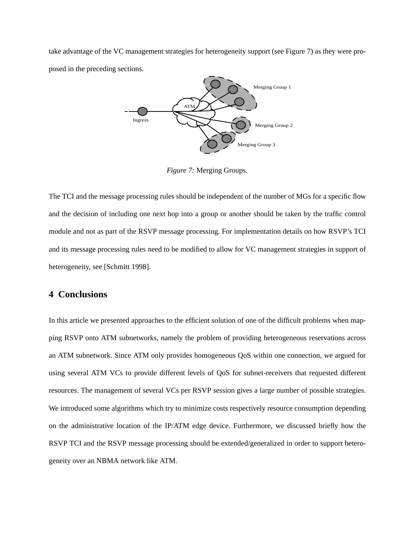<span id="page-24-0"></span>take advantage of the VC management strategies for heterogeneity support (see Figure 7) as they were proposed in the preceding sections.



*Figure 7:* Merging Groups.

The TCI and the message processing rules should be independent of the number of MGs for a specific flow and the decision of including one next hop into a group or another should be taken by the traffic control module and not as part of the RSVP message processing. For implementation details on how RSVP's TCI and its message processing rules need to be modified to allow for VC management strategies in support of heterogeneity, see [Schmitt 1998].

# **4 Conclusions**

In this article we presented approaches to the efficient solution of one of the difficult problems when mapping RSVP onto ATM subnetworks, namely the problem of providing heterogeneous reservations across an ATM subnetwork. Since ATM only provides homogeneous QoS within one connection, we argued for using several ATM VCs to provide different levels of QoS for subnet-receivers that requested different resources. The management of several VCs per RSVP session gives a large number of possible strategies. We introduced some algorithms which try to minimize costs respectively resource consumption depending on the administrative location of the IP/ATM edge device. Furthermore, we discussed briefly how the RSVP TCI and the RSVP message processing should be extended/generalized in order to support heterogeneity over an NBMA network like ATM.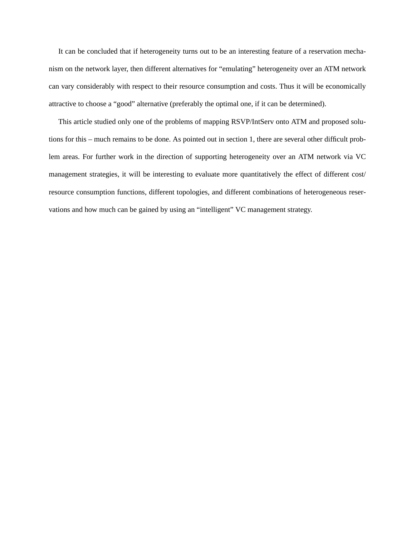It can be concluded that if heterogeneity turns out to be an interesting feature of a reservation mechanism on the network layer, then different alternatives for "emulating" heterogeneity over an ATM network can vary considerably with respect to their resource consumption and costs. Thus it will be economically attractive to choose a "good" alternative (preferably the optimal one, if it can be determined).

This article studied only one of the problems of mapping RSVP/IntServ onto ATM and proposed solutions for this – much remains to be done. As pointed out in [section 1,](#page-3-0) there are several other difficult problem areas. For further work in the direction of supporting heterogeneity over an ATM network via VC management strategies, it will be interesting to evaluate more quantitatively the effect of different cost/ resource consumption functions, different topologies, and different combinations of heterogeneous reservations and how much can be gained by using an "intelligent" VC management strategy.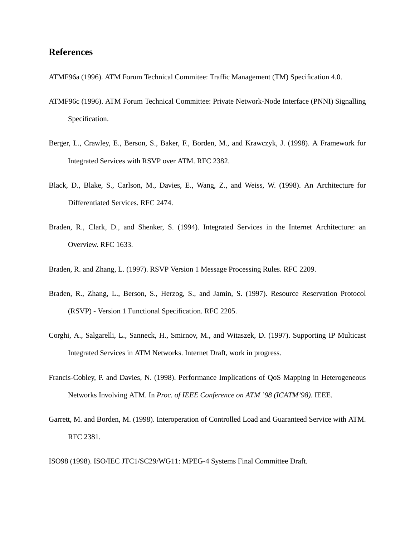# **References**

ATMF96a (1996). ATM Forum Technical Commitee: Traffic Management (TM) Specification 4.0.

- ATMF96c (1996). ATM Forum Technical Committee: Private Network-Node Interface (PNNI) Signalling Specification.
- Berger, L., Crawley, E., Berson, S., Baker, F., Borden, M., and Krawczyk, J. (1998). A Framework for Integrated Services with RSVP over ATM. RFC 2382.
- Black, D., Blake, S., Carlson, M., Davies, E., Wang, Z., and Weiss, W. (1998). An Architecture for Differentiated Services. RFC 2474.
- Braden, R., Clark, D., and Shenker, S. (1994). Integrated Services in the Internet Architecture: an Overview. RFC 1633.
- Braden, R. and Zhang, L. (1997). RSVP Version 1 Message Processing Rules. RFC 2209.
- Braden, R., Zhang, L., Berson, S., Herzog, S., and Jamin, S. (1997). Resource Reservation Protocol (RSVP) - Version 1 Functional Specification. RFC 2205.
- Corghi, A., Salgarelli, L., Sanneck, H., Smirnov, M., and Witaszek, D. (1997). Supporting IP Multicast Integrated Services in ATM Networks. Internet Draft, work in progress.
- Francis-Cobley, P. and Davies, N. (1998). Performance Implications of QoS Mapping in Heterogeneous Networks Involving ATM. In *Proc. of IEEE Conference on ATM '98 (ICATM'98)*. IEEE.
- Garrett, M. and Borden, M. (1998). Interoperation of Controlled Load and Guaranteed Service with ATM. RFC 2381.

ISO98 (1998). ISO/IEC JTC1/SC29/WG11: MPEG-4 Systems Final Committee Draft.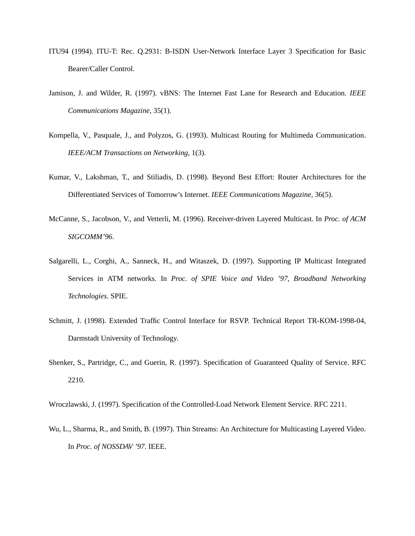- ITU94 (1994). ITU-T: Rec. Q.2931: B-ISDN User-Network Interface Layer 3 Specification for Basic Bearer/Caller Control.
- Jamison, J. and Wilder, R. (1997). vBNS: The Internet Fast Lane for Research and Education. *IEEE Communications Magazine*, 35(1).
- Kompella, V., Pasquale, J., and Polyzos, G. (1993). Multicast Routing for Multimeda Communication. *IEEE/ACM Transactions on Networking*, 1(3).
- Kumar, V., Lakshman, T., and Stiliadis, D. (1998). Beyond Best Effort: Router Architectures for the Differentiated Services of Tomorrow's Internet. *IEEE Communications Magazine*, 36(5).
- McCanne, S., Jacobson, V., and Vetterli, M. (1996). Receiver-driven Layered Multicast. In *Proc. of ACM SIGCOMM'96*.
- Salgarelli, L., Corghi, A., Sanneck, H., and Witaszek, D. (1997). Supporting IP Multicast Integrated Services in ATM networks. In *Proc. of SPIE Voice and Video '97, Broadband Networking Technologies*. SPIE.
- Schmitt, J. (1998). Extended Traffic Control Interface for RSVP. Technical Report TR-KOM-1998-04, Darmstadt University of Technology.
- Shenker, S., Partridge, C., and Guerin, R. (1997). Specification of Guaranteed Quality of Service. RFC 2210.
- Wroczlawski, J. (1997). Specification of the Controlled-Load Network Element Service. RFC 2211.
- Wu, L., Sharma, R., and Smith, B. (1997). Thin Streams: An Architecture for Multicasting Layered Video. In *Proc. of NOSSDAV '97*. IEEE.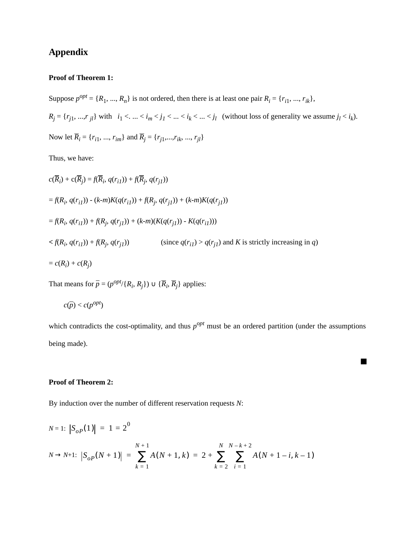# **Appendix**

## **Proof of Theorem 1:**

Suppose  $p^{opt} = \{R_1, ..., R_n\}$  is not ordered, then there is at least one pair  $R_i = \{r_{i1}, ..., r_{ik}\},$  $R_j = \{r_{j1}, ..., r_{jl}\}$  with  $i_1 < ... < i_m < j_l < ... < i_k < ... < j_l$  (without loss of generality we assume  $j_l < i_k$ ). Now let  $\overline{R}_i = \{r_{i1}, ..., r_{im}\}\$  and  $\overline{R}_j = \{r_{j1}, ..., r_{ik}, ..., r_{jl}\}\$ 

Thus, we have:

$$
c(\overline{R}_i) + c(\overline{R}_j) = f(\overline{R}_i, q(r_{iI})) + f(\overline{R}_j, q(r_{jI}))
$$
  
\n
$$
= f(R_i, q(r_{iI})) - (k-m)K(q(r_{iI})) + f(R_j, q(r_{jI})) + (k-m)K(q(r_{jI}))
$$
  
\n
$$
= f(R_i, q(r_{iI})) + f(R_j, q(r_{jI})) + (k-m)(K(q(r_{jI})) - K(q(r_{iI})))
$$
  
\n
$$
< f(R_i, q(r_{iI})) + f(R_j, q(r_{jI}))
$$
 (since  $q(r_{iI}) > q(r_{jI})$  and K is strictly increasing in q)  
\n
$$
= c(R_i) + c(R_j)
$$

That means for  $\overline{p} = (p^{opt}/\{R_i, R_j\}) \cup \{\overline{R}_i, \overline{R}_j\}$  applies:

$$
c(\overline{p}) < c(p^{opt})
$$

which contradicts the cost-optimality, and thus  $p^{opt}$  must be an ordered partition (under the assumptions being made).

■

### **Proof of Theorem 2:**

By induction over the number of different reservation requests *N*:

$$
N = 1: |S_{oP}(1)| = 1 = 2^{0}
$$
  

$$
N \rightarrow N+1: |S_{oP}(N+1)| = \sum_{k=1}^{N+1} A(N+1, k) = 2 + \sum_{k=2}^{N} \sum_{i=1}^{N-k+2} A(N+1-i, k-1)
$$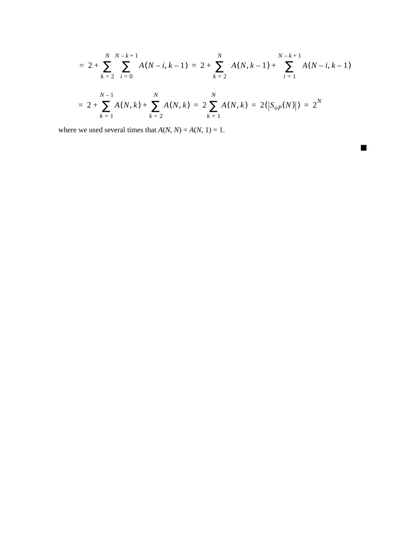$$
= 2 + \sum_{k=2}^{N} \sum_{i=0}^{N-k+1} A(N-i, k-1) = 2 + \sum_{k=2}^{N} \left( A(N, k-1) + \sum_{i=1}^{N-k+1} A(N-i, k-1) \right)
$$

■

$$
= 2 + \sum_{k=1}^{N-1} A(N, k) + \sum_{k=2}^{N} A(N, k) = 2 \sum_{k=1}^{N} A(N, k) = 2(|S_{oP}(N)|) = 2^N
$$

where we used several times that  $A(N, N) = A(N, 1) = 1$ .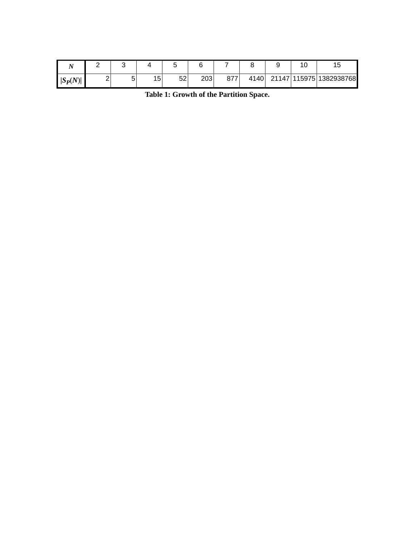| $\mathbf{A}$ |               |    |           |     |     |      |  | ں ،                     |
|--------------|---------------|----|-----------|-----|-----|------|--|-------------------------|
| $ S_P(N) $   | ∽<br><u>.</u> | 15 | EO.<br>ວ∠ | 203 | 877 | 4140 |  | 21147 115975 1382938768 |

**Table 1: Growth of the Partition Space.**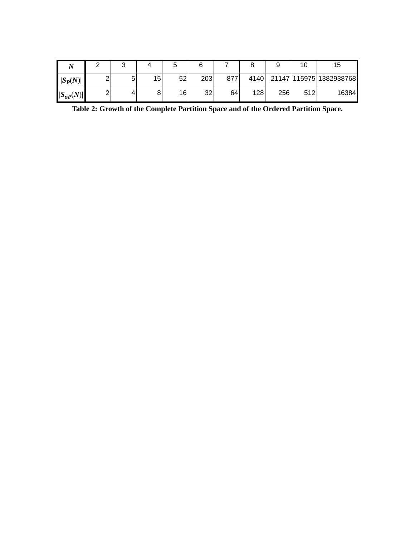| N             |          | ັ |    |    | ี   |     |     |     |     | 15                           |
|---------------|----------|---|----|----|-----|-----|-----|-----|-----|------------------------------|
| $ S_P(N) $    | ⌒        |   | 15 | 52 | 203 | 877 |     |     |     | 4140 21147 115975 1382938768 |
| $ S_{oP}(N) $ | <u>.</u> |   |    | 16 | 32  | 64  | 128 | 256 | 512 | 16384                        |

**Table 2: Growth of the Complete Partition Space and of the Ordered Partition Space.**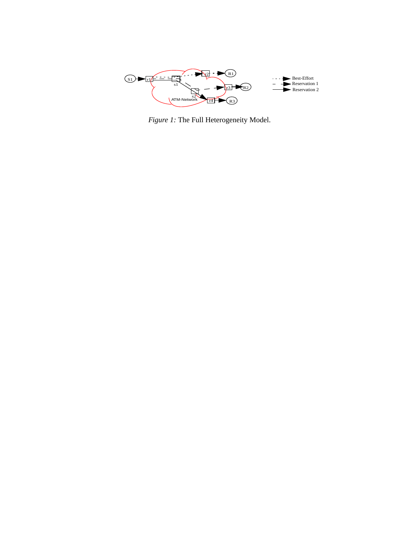

*Figure 1:* The Full Heterogeneity Model.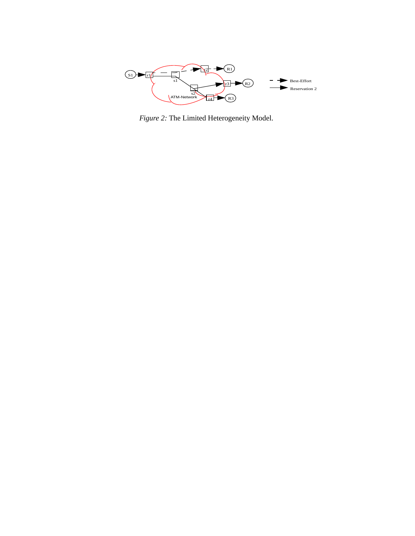

*Figure 2:* The Limited Heterogeneity Model.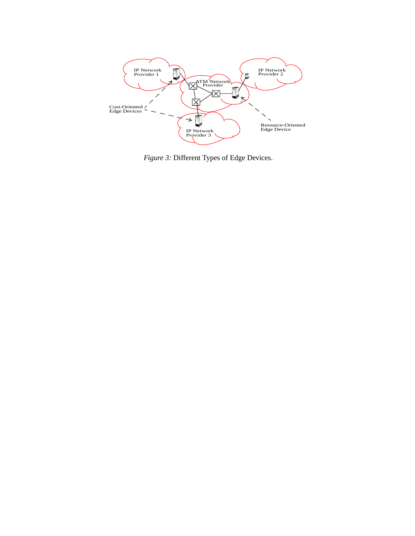

*Figure 3:* Different Types of Edge Devices.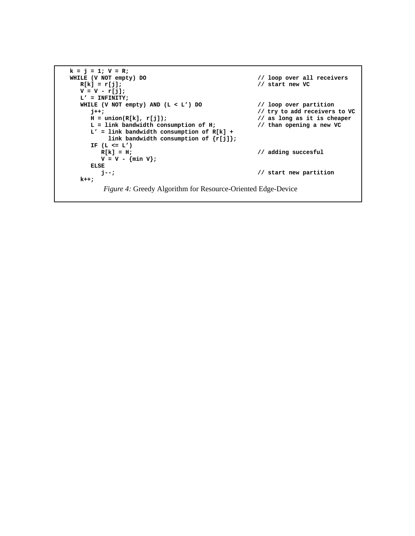```
k = j = 1; V = R;<br>WHILE (V NOT empty) DO
   WHILE (V NOT empty) DO // loop over all receivers<br>R[k] = r[j]; // start new VC
                                                           R[k] = r[j]; // start new VC
   V = V - r[j];
   L' = INFINITY;
   WHILE (V NOT empty) AND (L < L') DO <br>
j++;<br>
// try to add receivers
      j++;<br>
\frac{1}{2} // try to add receivers to VC<br>
\frac{1}{2} = union(R[k], r[j]);<br>
\frac{1}{2} // as long as it is cheaper
                                                           // as long as it is cheaper
      L = link bandwidth consumption of H; // than opening a new VC
      L' = link bandwidth consumption of R[k] +
            link bandwidth consumption of {r[j]};
      IF (L \leq L')<br>
R[k] = H;R[k] = H; // adding succesful
         V = V - {min V};
      ELSE
          j--; // start new partition
   k++;
          Figure 4: Greedy Algorithm for Resource-Oriented Edge-Device
```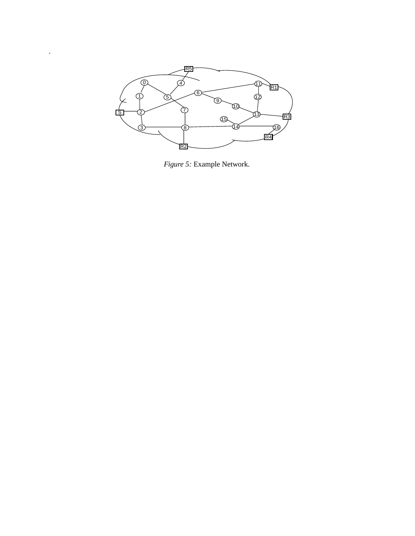

.

*Figure 5:* Example Network.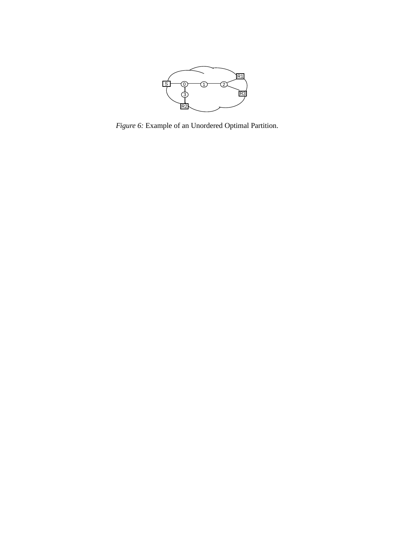

*Figure 6:* Example of an Unordered Optimal Partition.